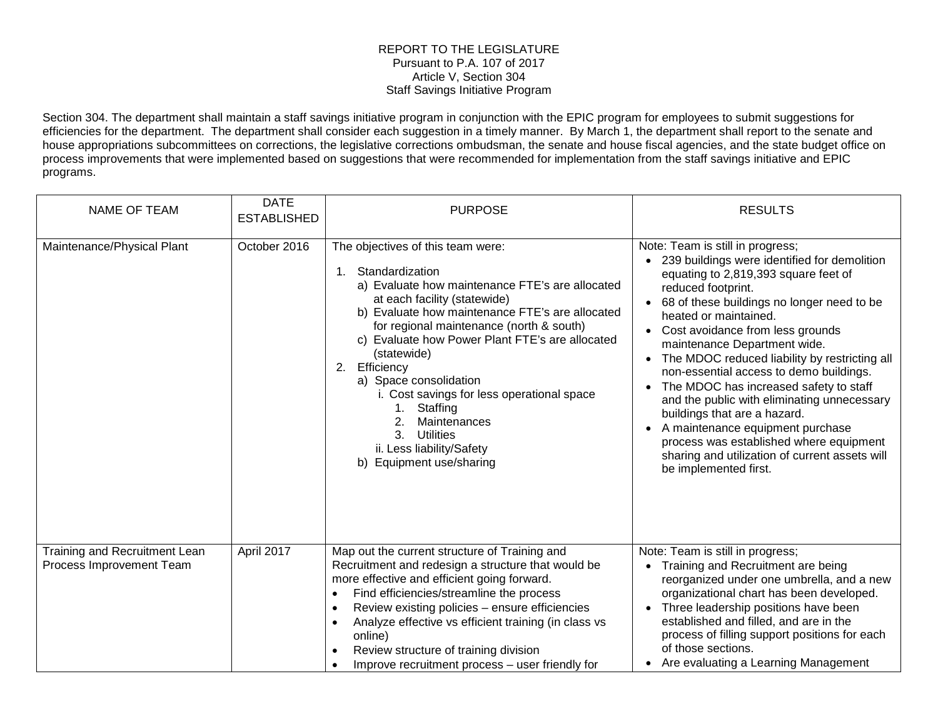## REPORT TO THE LEGISLATURE Pursuant to P.A. 107 of 2017 Article V, Section 304 Staff Savings Initiative Program

Section 304. The department shall maintain a staff savings initiative program in conjunction with the EPIC program for employees to submit suggestions for efficiencies for the department. The department shall consider each suggestion in a timely manner. By March 1, the department shall report to the senate and house appropriations subcommittees on corrections, the legislative corrections ombudsman, the senate and house fiscal agencies, and the state budget office on process improvements that were implemented based on suggestions that were recommended for implementation from the staff savings initiative and EPIC programs.

| NAME OF TEAM                                              | <b>DATE</b><br><b>ESTABLISHED</b> | <b>PURPOSE</b>                                                                                                                                                                                                                                                                                                                                                                                                                                                                                                                        | <b>RESULTS</b>                                                                                                                                                                                                                                                                                                                                                                                                                                                                                                                                                                                                                                                                 |
|-----------------------------------------------------------|-----------------------------------|---------------------------------------------------------------------------------------------------------------------------------------------------------------------------------------------------------------------------------------------------------------------------------------------------------------------------------------------------------------------------------------------------------------------------------------------------------------------------------------------------------------------------------------|--------------------------------------------------------------------------------------------------------------------------------------------------------------------------------------------------------------------------------------------------------------------------------------------------------------------------------------------------------------------------------------------------------------------------------------------------------------------------------------------------------------------------------------------------------------------------------------------------------------------------------------------------------------------------------|
| Maintenance/Physical Plant                                | October 2016                      | The objectives of this team were:<br>Standardization<br>1.<br>a) Evaluate how maintenance FTE's are allocated<br>at each facility (statewide)<br>b) Evaluate how maintenance FTE's are allocated<br>for regional maintenance (north & south)<br>c) Evaluate how Power Plant FTE's are allocated<br>(statewide)<br>Efficiency<br>2.<br>a) Space consolidation<br>i. Cost savings for less operational space<br>Staffing<br>1.<br>Maintenances<br>2.<br>3.<br><b>Utilities</b><br>ii. Less liability/Safety<br>b) Equipment use/sharing | Note: Team is still in progress;<br>• 239 buildings were identified for demolition<br>equating to 2,819,393 square feet of<br>reduced footprint.<br>68 of these buildings no longer need to be<br>heated or maintained.<br>• Cost avoidance from less grounds<br>maintenance Department wide.<br>• The MDOC reduced liability by restricting all<br>non-essential access to demo buildings.<br>The MDOC has increased safety to staff<br>and the public with eliminating unnecessary<br>buildings that are a hazard.<br>A maintenance equipment purchase<br>process was established where equipment<br>sharing and utilization of current assets will<br>be implemented first. |
| Training and Recruitment Lean<br>Process Improvement Team | April 2017                        | Map out the current structure of Training and<br>Recruitment and redesign a structure that would be<br>more effective and efficient going forward.<br>Find efficiencies/streamline the process<br>$\bullet$<br>Review existing policies - ensure efficiencies<br>Analyze effective vs efficient training (in class vs<br>online)<br>Review structure of training division<br>Improve recruitment process - user friendly for                                                                                                          | Note: Team is still in progress;<br>Training and Recruitment are being<br>reorganized under one umbrella, and a new<br>organizational chart has been developed.<br>Three leadership positions have been<br>established and filled, and are in the<br>process of filling support positions for each<br>of those sections.<br>Are evaluating a Learning Management                                                                                                                                                                                                                                                                                                               |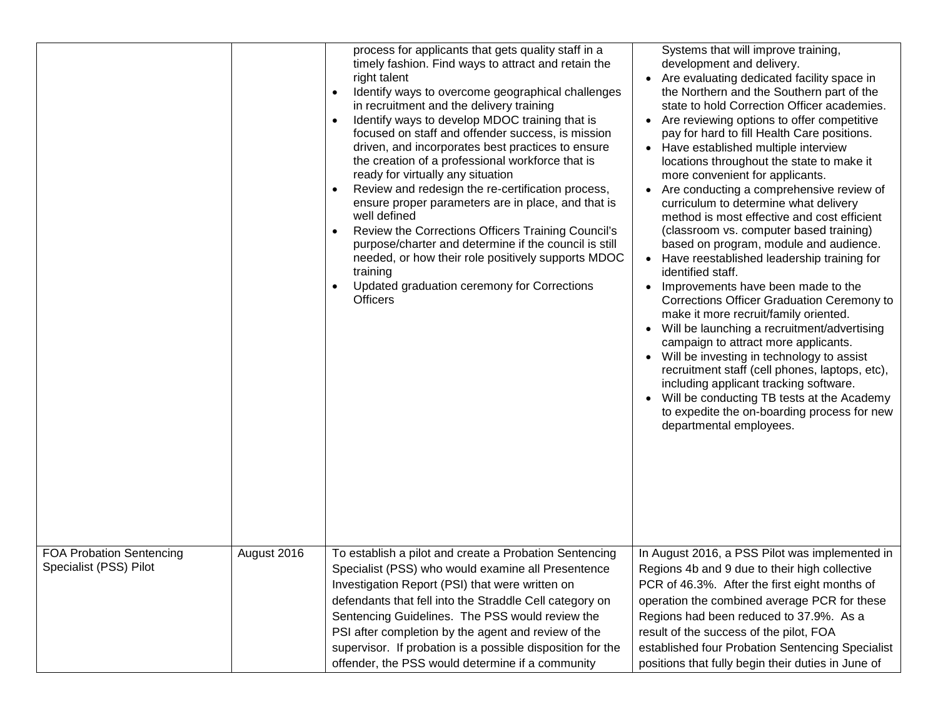|                                                           |             | process for applicants that gets quality staff in a<br>timely fashion. Find ways to attract and retain the<br>right talent<br>Identify ways to overcome geographical challenges<br>in recruitment and the delivery training<br>Identify ways to develop MDOC training that is<br>$\bullet$<br>focused on staff and offender success, is mission<br>driven, and incorporates best practices to ensure<br>the creation of a professional workforce that is<br>ready for virtually any situation<br>Review and redesign the re-certification process,<br>ensure proper parameters are in place, and that is<br>well defined<br>Review the Corrections Officers Training Council's<br>purpose/charter and determine if the council is still<br>needed, or how their role positively supports MDOC<br>training<br>Updated graduation ceremony for Corrections<br><b>Officers</b> | Systems that will improve training,<br>development and delivery.<br>• Are evaluating dedicated facility space in<br>the Northern and the Southern part of the<br>state to hold Correction Officer academies.<br>• Are reviewing options to offer competitive<br>pay for hard to fill Health Care positions.<br>• Have established multiple interview<br>locations throughout the state to make it<br>more convenient for applicants.<br>Are conducting a comprehensive review of<br>curriculum to determine what delivery<br>method is most effective and cost efficient<br>(classroom vs. computer based training)<br>based on program, module and audience.<br>• Have reestablished leadership training for<br>identified staff.<br>Improvements have been made to the<br>Corrections Officer Graduation Ceremony to<br>make it more recruit/family oriented.<br>Will be launching a recruitment/advertising<br>campaign to attract more applicants.<br>Will be investing in technology to assist<br>recruitment staff (cell phones, laptops, etc),<br>including applicant tracking software.<br>Will be conducting TB tests at the Academy<br>to expedite the on-boarding process for new<br>departmental employees. |
|-----------------------------------------------------------|-------------|-----------------------------------------------------------------------------------------------------------------------------------------------------------------------------------------------------------------------------------------------------------------------------------------------------------------------------------------------------------------------------------------------------------------------------------------------------------------------------------------------------------------------------------------------------------------------------------------------------------------------------------------------------------------------------------------------------------------------------------------------------------------------------------------------------------------------------------------------------------------------------|-------------------------------------------------------------------------------------------------------------------------------------------------------------------------------------------------------------------------------------------------------------------------------------------------------------------------------------------------------------------------------------------------------------------------------------------------------------------------------------------------------------------------------------------------------------------------------------------------------------------------------------------------------------------------------------------------------------------------------------------------------------------------------------------------------------------------------------------------------------------------------------------------------------------------------------------------------------------------------------------------------------------------------------------------------------------------------------------------------------------------------------------------------------------------------------------------------------------------|
| <b>FOA Probation Sentencing</b><br>Specialist (PSS) Pilot | August 2016 | To establish a pilot and create a Probation Sentencing<br>Specialist (PSS) who would examine all Presentence<br>Investigation Report (PSI) that were written on<br>defendants that fell into the Straddle Cell category on<br>Sentencing Guidelines. The PSS would review the<br>PSI after completion by the agent and review of the<br>supervisor. If probation is a possible disposition for the<br>offender, the PSS would determine if a community                                                                                                                                                                                                                                                                                                                                                                                                                      | In August 2016, a PSS Pilot was implemented in<br>Regions 4b and 9 due to their high collective<br>PCR of 46.3%. After the first eight months of<br>operation the combined average PCR for these<br>Regions had been reduced to 37.9%. As a<br>result of the success of the pilot, FOA<br>established four Probation Sentencing Specialist<br>positions that fully begin their duties in June of                                                                                                                                                                                                                                                                                                                                                                                                                                                                                                                                                                                                                                                                                                                                                                                                                        |